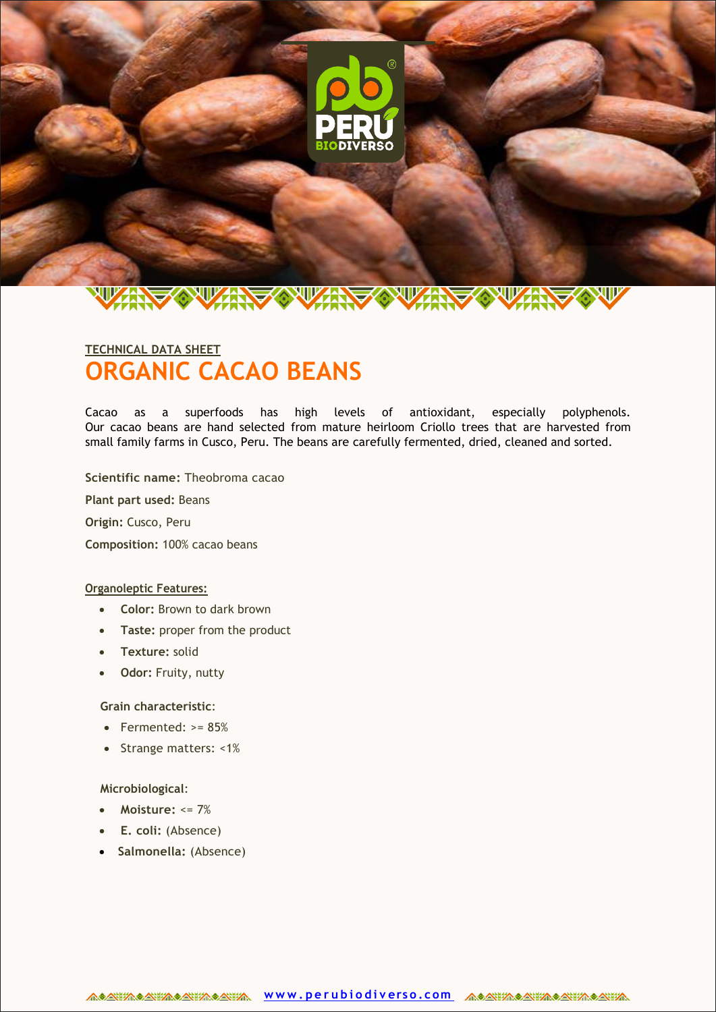

# **ORGANIC CACAO BEANS TECHNICAL DATA SHEET**

Cacao as a superfoods has high levels of antioxidant, especially polyphenols. Our cacao beans are hand selected from mature heirloom Criollo trees that are harvested from small family farms in Cusco, Peru. The beans are carefully fermented, dried, cleaned and sorted.

**Scientific name:** Theobroma cacao

**Plant part used:** Beans

**Origin:** Cusco, Peru

**Composition:** 100% cacao beans

#### **Organoleptic Features:**

- **Color:** Brown to dark brown
- **Taste:** proper from the product
- **Texture:** solid
- **Odor:** Fruity, nutty

#### **Grain characteristic**:

- $\bullet$  Fermented: >= 85%
- Strange matters: <1%

#### **Microbiological**:

- **Moisture:** <= 7%
- **E. coli:** (Absence)
- **Salmonella:** (Absence)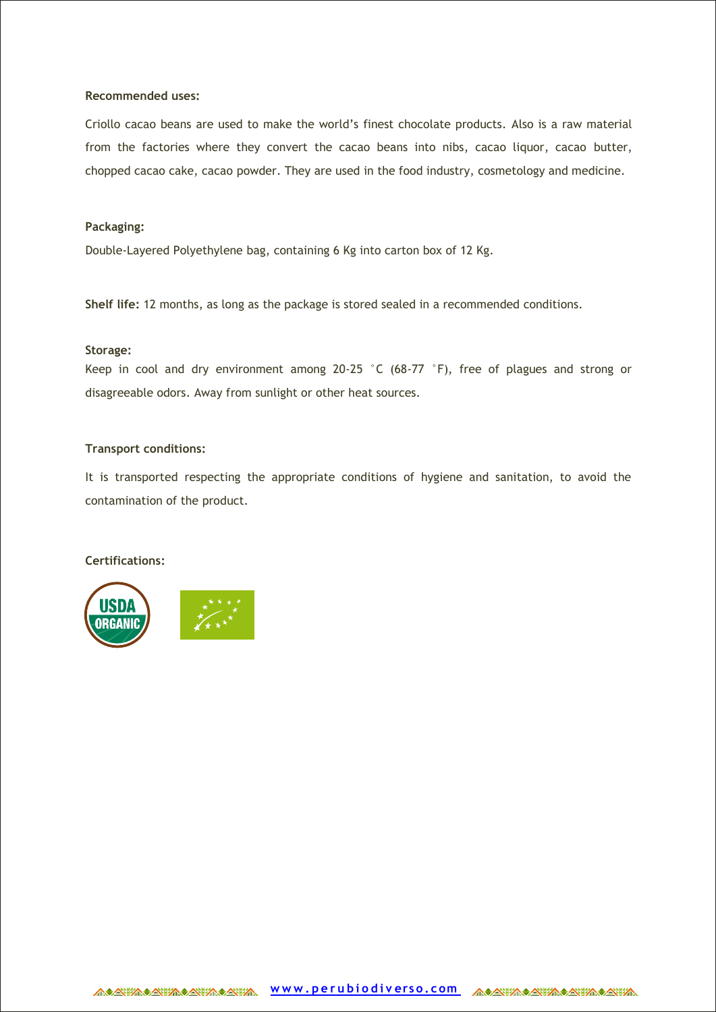#### **Recommended uses:**

Criollo cacao beans are used to make the world's finest chocolate products. Also is a raw material from the factories where they convert the cacao beans into nibs, cacao liquor, cacao butter, chopped cacao cake, cacao powder. They are used in the food industry, cosmetology and medicine.

#### **Packaging:**

Double-Layered Polyethylene bag, containing 6 Kg into carton box of 12 Kg.

**Shelf life:** 12 months, as long as the package is stored sealed in a recommended conditions.

#### **Storage:**

Keep in cool and dry environment among 20-25 °C (68-77 °F), free of plagues and strong or disagreeable odors. Away from sunlight or other heat sources.

#### **Transport conditions:**

It is transported respecting the appropriate conditions of hygiene and sanitation, to avoid the contamination of the product.

## **Certifications:**



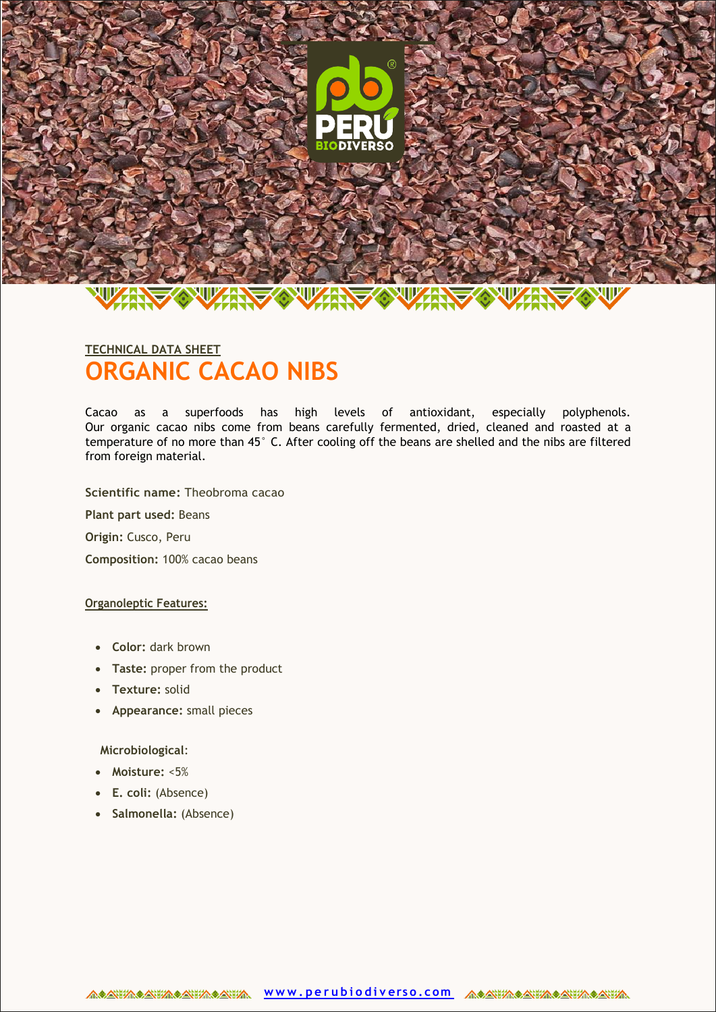

# **ORGANIC CACAO NIBS TECHNICAL DATA SHEET**

Cacao as a superfoods has high levels of antioxidant, especially polyphenols. Our organic cacao nibs come from beans carefully fermented, dried, cleaned and roasted at a temperature of no more than 45° C. After cooling off the beans are shelled and the nibs are filtered from foreign material.

**Scientific name:** Theobroma cacao

**Plant part used:** Beans

**Origin:** Cusco, Peru

**Composition:** 100% cacao beans

#### **Organoleptic Features:**

- **Color:** dark brown
- **Taste:** proper from the product
- **Texture:** solid
- **Appearance:** small pieces

**Microbiological**:

- **Moisture:** <5%
- **E. coli:** (Absence)
- **Salmonella:** (Absence)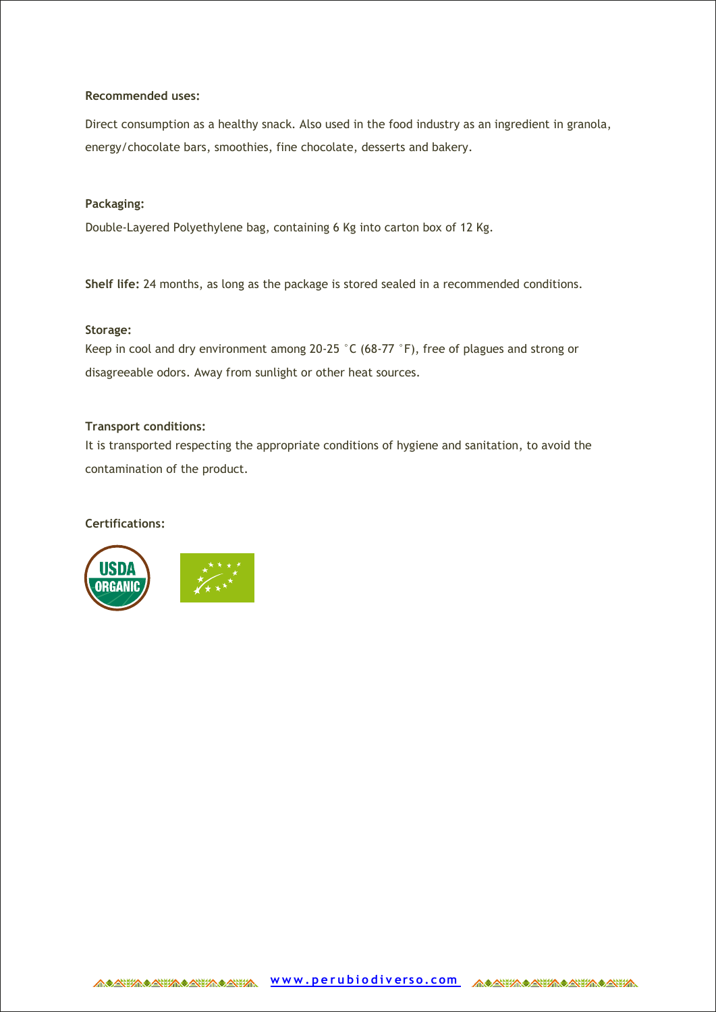#### **Recommended uses:**

Direct consumption as a healthy snack. Also used in the food industry as an ingredient in granola, energy/chocolate bars, smoothies, fine chocolate, desserts and bakery.

#### **Packaging:**

Double-Layered Polyethylene bag, containing 6 Kg into carton box of 12 Kg.

**Shelf life:** 24 months, as long as the package is stored sealed in a recommended conditions.

#### **Storage:**

Keep in cool and dry environment among 20-25 °C (68-77 °F), free of plagues and strong or disagreeable odors. Away from sunlight or other heat sources.

#### **Transport conditions:**

It is transported respecting the appropriate conditions of hygiene and sanitation, to avoid the contamination of the product.

## **Certifications:**



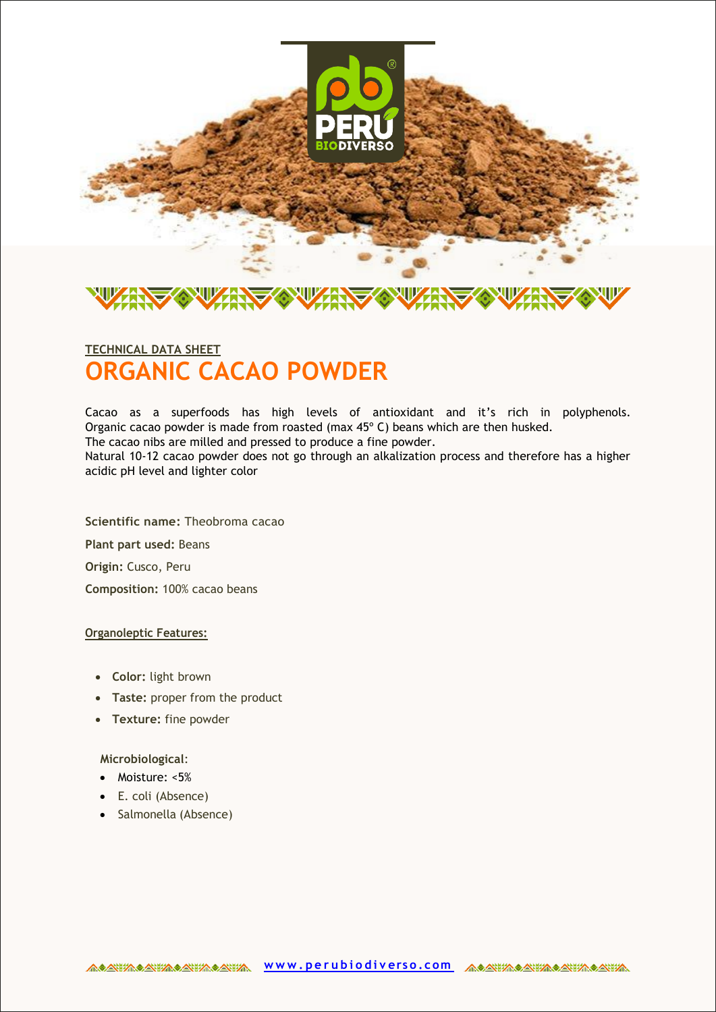

# **ORGANIC CACAO POWDER TECHNICAL DATA SHEET**

Cacao as a superfoods has high levels of antioxidant and it's rich in polyphenols. Organic cacao powder is made from roasted (max 45º C) beans which are then husked.

The cacao nibs are milled and pressed to produce a fine powder.

Natural 10-12 cacao powder does not go through an alkalization process and therefore has a higher acidic pH level and lighter color

**Scientific name:** Theobroma cacao **Plant part used:** Beans **Origin:** Cusco, Peru **Composition:** 100% cacao beans

## **Organoleptic Features:**

- **Color:** light brown
- **Taste:** proper from the product
- **Texture:** fine powder

**Microbiological**:

- Moisture: <5%
- E. coli (Absence)
- Salmonella (Absence)